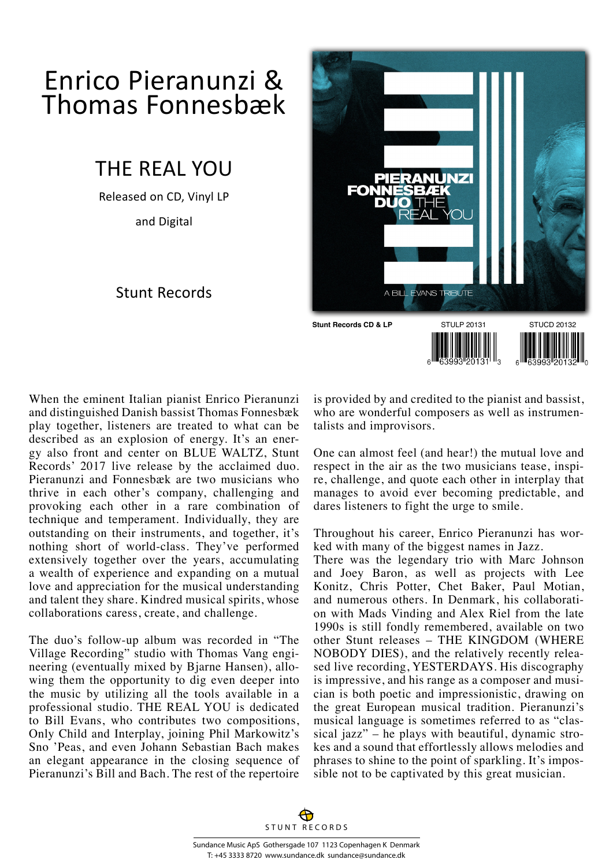## Enrico Pieranunzi & Thomas Fonnesbæk

## THE REAL YOU

Released on CD, Vinyl LP

and Digital

## Stunt Records



When the eminent Italian pianist Enrico Pieranunzi and distinguished Danish bassist Thomas Fonnesbæk play together, listeners are treated to what can be described as an explosion of energy. It's an energy also front and center on BLUE WALTZ, Stunt Records' 2017 live release by the acclaimed duo. Pieranunzi and Fonnesbæk are two musicians who thrive in each other's company, challenging and provoking each other in a rare combination of technique and temperament. Individually, they are outstanding on their instruments, and together, it's nothing short of world-class. They've performed extensively together over the years, accumulating a wealth of experience and expanding on a mutual love and appreciation for the musical understanding and talent they share. Kindred musical spirits, whose collaborations caress, create, and challenge.

The duo's follow-up album was recorded in "The Village Recording" studio with Thomas Vang engineering (eventually mixed by Bjarne Hansen), allowing them the opportunity to dig even deeper into the music by utilizing all the tools available in a professional studio. THE REAL YOU is dedicated to Bill Evans, who contributes two compositions, Only Child and Interplay, joining Phil Markowitz's Sno 'Peas, and even Johann Sebastian Bach makes an elegant appearance in the closing sequence of Pieranunzi's Bill and Bach. The rest of the repertoire

is provided by and credited to the pianist and bassist, who are wonderful composers as well as instrumentalists and improvisors.

One can almost feel (and hear!) the mutual love and respect in the air as the two musicians tease, inspire, challenge, and quote each other in interplay that manages to avoid ever becoming predictable, and dares listeners to fight the urge to smile.

Throughout his career, Enrico Pieranunzi has worked with many of the biggest names in Jazz.

There was the legendary trio with Marc Johnson and Joey Baron, as well as projects with Lee Konitz, Chris Potter, Chet Baker, Paul Motian, and numerous others. In Denmark, his collaboration with Mads Vinding and Alex Riel from the late 1990s is still fondly remembered, available on two other Stunt releases – THE KINGDOM (WHERE NOBODY DIES), and the relatively recently released live recording, YESTERDAYS. His discography is impressive, and his range as a composer and musician is both poetic and impressionistic, drawing on the great European musical tradition. Pieranunzi's musical language is sometimes referred to as "classical jazz" – he plays with beautiful, dynamic strokes and a sound that effortlessly allows melodies and phrases to shine to the point of sparkling. It's impossible not to be captivated by this great musician.